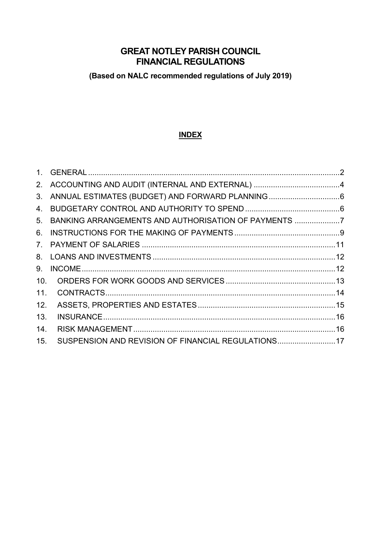# **GREAT NOTLEY PARISH COUNCIL FINANCIAL REGULATIONS**

**(Based on NALC recommended regulations of July 2019)**

## **INDEX**

|                 | 3. ANNUAL ESTIMATES (BUDGET) AND FORWARD PLANNING6   |  |
|-----------------|------------------------------------------------------|--|
|                 |                                                      |  |
| 5.              | BANKING ARRANGEMENTS AND AUTHORISATION OF PAYMENTS 7 |  |
| 6.              |                                                      |  |
|                 |                                                      |  |
|                 |                                                      |  |
| 9.              |                                                      |  |
| 10 <sub>1</sub> |                                                      |  |
| 11.             |                                                      |  |
| 12.             |                                                      |  |
| 13.             |                                                      |  |
| 14.             |                                                      |  |
| 15.             | SUSPENSION AND REVISION OF FINANCIAL REGULATIONS17   |  |
|                 |                                                      |  |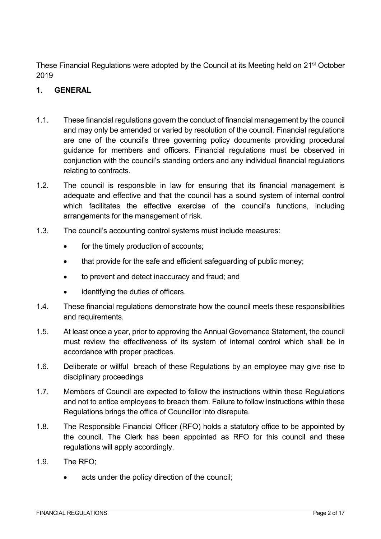These Financial Regulations were adopted by the Council at its Meeting held on 21<sup>st</sup> October 2019

### <span id="page-1-0"></span>**1. GENERAL**

- 1.1. These financial regulations govern the conduct of financial management by the council and may only be amended or varied by resolution of the council. Financial regulations are one of the council's three governing policy documents providing procedural guidance for members and officers. Financial regulations must be observed in conjunction with the council's standing orders and any individual financial regulations relating to contracts.
- 1.2. The council is responsible in law for ensuring that its financial management is adequate and effective and that the council has a sound system of internal control which facilitates the effective exercise of the council's functions, including arrangements for the management of risk.
- 1.3. The council's accounting control systems must include measures:
	- for the timely production of accounts;
	- that provide for the safe and efficient safeguarding of public money;
	- to prevent and detect inaccuracy and fraud; and
	- identifying the duties of officers.
- 1.4. These financial regulations demonstrate how the council meets these responsibilities and requirements.
- 1.5. At least once a year, prior to approving the Annual Governance Statement, the council must review the effectiveness of its system of internal control which shall be in accordance with proper practices.
- 1.6. Deliberate or willful breach of these Regulations by an employee may give rise to disciplinary proceedings
- 1.7. Members of Council are expected to follow the instructions within these Regulations and not to entice employees to breach them. Failure to follow instructions within these Regulations brings the office of Councillor into disrepute.
- 1.8. The Responsible Financial Officer (RFO) holds a statutory office to be appointed by the council. The Clerk has been appointed as RFO for this council and these regulations will apply accordingly.
- 1.9. The RFO;
	- acts under the policy direction of the council;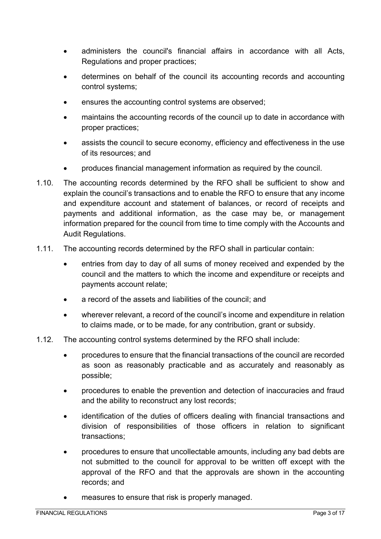- administers the council's financial affairs in accordance with all Acts, Regulations and proper practices;
- determines on behalf of the council its accounting records and accounting control systems;
- ensures the accounting control systems are observed;
- maintains the accounting records of the council up to date in accordance with proper practices;
- assists the council to secure economy, efficiency and effectiveness in the use of its resources; and
- produces financial management information as required by the council.
- 1.10. The accounting records determined by the RFO shall be sufficient to show and explain the council's transactions and to enable the RFO to ensure that any income and expenditure account and statement of balances, or record of receipts and payments and additional information, as the case may be, or management information prepared for the council from time to time comply with the Accounts and Audit Regulations.
- 1.11. The accounting records determined by the RFO shall in particular contain:
	- entries from day to day of all sums of money received and expended by the council and the matters to which the income and expenditure or receipts and payments account relate;
	- a record of the assets and liabilities of the council; and
	- wherever relevant, a record of the council's income and expenditure in relation to claims made, or to be made, for any contribution, grant or subsidy.
- 1.12. The accounting control systems determined by the RFO shall include:
	- procedures to ensure that the financial transactions of the council are recorded as soon as reasonably practicable and as accurately and reasonably as possible;
	- procedures to enable the prevention and detection of inaccuracies and fraud and the ability to reconstruct any lost records;
	- identification of the duties of officers dealing with financial transactions and division of responsibilities of those officers in relation to significant transactions;
	- procedures to ensure that uncollectable amounts, including any bad debts are not submitted to the council for approval to be written off except with the approval of the RFO and that the approvals are shown in the accounting records; and
	- measures to ensure that risk is properly managed.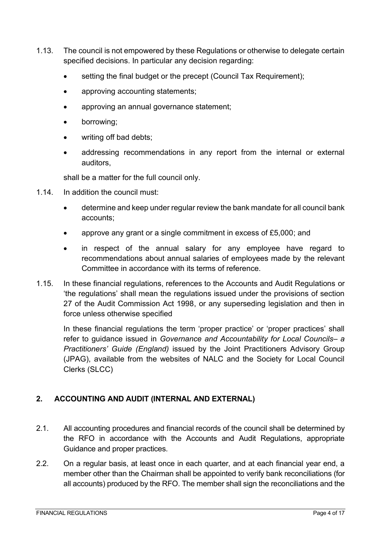- 1.13. The council is not empowered by these Regulations or otherwise to delegate certain specified decisions. In particular any decision regarding:
	- setting the final budget or the precept (Council Tax Requirement);
	- approving accounting statements;
	- approving an annual governance statement;
	- borrowing;
	- writing off bad debts;
	- addressing recommendations in any report from the internal or external auditors,

shall be a matter for the full council only.

- 1.14. In addition the council must:
	- determine and keep under regular review the bank mandate for all council bank accounts;
	- approve any grant or a single commitment in excess of £5,000; and
	- in respect of the annual salary for any employee have regard to recommendations about annual salaries of employees made by the relevant Committee in accordance with its terms of reference.
- 1.15. In these financial regulations, references to the Accounts and Audit Regulations or 'the regulations' shall mean the regulations issued under the provisions of section 27 of the Audit Commission Act 1998, or any superseding legislation and then in force unless otherwise specified

In these financial regulations the term 'proper practice' or 'proper practices' shall refer to guidance issued in *Governance and Accountability for Local Councils– a Practitioners' Guide (England)* issued by the Joint Practitioners Advisory Group (JPAG), available from the websites of NALC and the Society for Local Council Clerks (SLCC)

# <span id="page-3-0"></span>**2. ACCOUNTING AND AUDIT (INTERNAL AND EXTERNAL)**

- 2.1. All accounting procedures and financial records of the council shall be determined by the RFO in accordance with the Accounts and Audit Regulations, appropriate Guidance and proper practices.
- 2.2. On a regular basis, at least once in each quarter, and at each financial year end, a member other than the Chairman shall be appointed to verify bank reconciliations (for all accounts) produced by the RFO. The member shall sign the reconciliations and the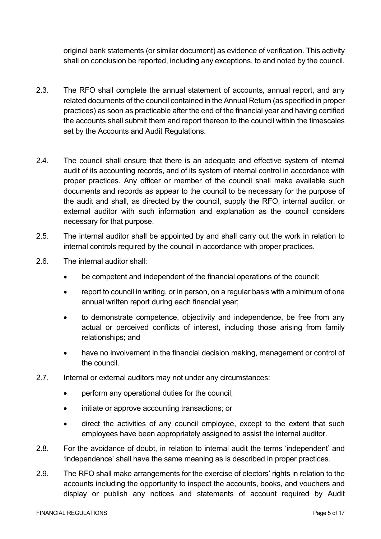original bank statements (or similar document) as evidence of verification. This activity shall on conclusion be reported, including any exceptions, to and noted by the council.

- 2.3. The RFO shall complete the annual statement of accounts, annual report, and any related documents of the council contained in the Annual Return (as specified in proper practices) as soon as practicable after the end of the financial year and having certified the accounts shall submit them and report thereon to the council within the timescales set by the Accounts and Audit Regulations.
- 2.4. The council shall ensure that there is an adequate and effective system of internal audit of its accounting records, and of its system of internal control in accordance with proper practices. Any officer or member of the council shall make available such documents and records as appear to the council to be necessary for the purpose of the audit and shall, as directed by the council, supply the RFO, internal auditor, or external auditor with such information and explanation as the council considers necessary for that purpose.
- 2.5. The internal auditor shall be appointed by and shall carry out the work in relation to internal controls required by the council in accordance with proper practices.
- 2.6. The internal auditor shall:
	- be competent and independent of the financial operations of the council;
	- report to council in writing, or in person, on a regular basis with a minimum of one annual written report during each financial year;
	- to demonstrate competence, objectivity and independence, be free from any actual or perceived conflicts of interest, including those arising from family relationships; and
	- have no involvement in the financial decision making, management or control of the council.
- 2.7. Internal or external auditors may not under any circumstances:
	- perform any operational duties for the council;
	- initiate or approve accounting transactions; or
	- direct the activities of any council employee, except to the extent that such employees have been appropriately assigned to assist the internal auditor.
- 2.8. For the avoidance of doubt, in relation to internal audit the terms 'independent' and 'independence' shall have the same meaning as is described in proper practices.
- 2.9. The RFO shall make arrangements for the exercise of electors' rights in relation to the accounts including the opportunity to inspect the accounts, books, and vouchers and display or publish any notices and statements of account required by Audit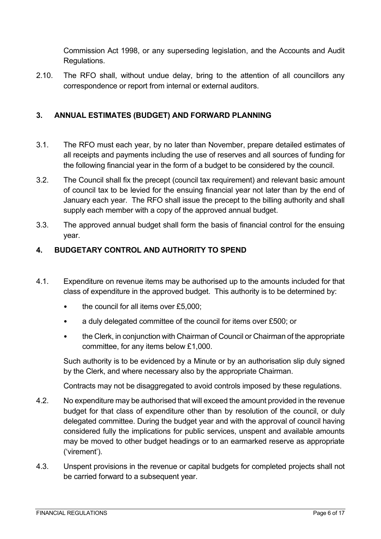Commission Act 1998, or any superseding legislation, and the Accounts and Audit Regulations.

2.10. The RFO shall, without undue delay, bring to the attention of all councillors any correspondence or report from internal or external auditors.

### <span id="page-5-0"></span>**3. ANNUAL ESTIMATES (BUDGET) AND FORWARD PLANNING**

- 3.1. The RFO must each year, by no later than November, prepare detailed estimates of all receipts and payments including the use of reserves and all sources of funding for the following financial year in the form of a budget to be considered by the council.
- 3.2. The Council shall fix the precept (council tax requirement) and relevant basic amount of council tax to be levied for the ensuing financial year not later than by the end of January each year. The RFO shall issue the precept to the billing authority and shall supply each member with a copy of the approved annual budget.
- 3.3. The approved annual budget shall form the basis of financial control for the ensuing year.

### <span id="page-5-1"></span>**4. BUDGETARY CONTROL AND AUTHORITY TO SPEND**

- 4.1. Expenditure on revenue items may be authorised up to the amounts included for that class of expenditure in the approved budget. This authority is to be determined by:
	- the council for all items over £5,000;
	- a duly delegated committee of the council for items over £500; or
	- the Clerk, in conjunction with Chairman of Council or Chairman of the appropriate committee, for any items below £1,000.

Such authority is to be evidenced by a Minute or by an authorisation slip duly signed by the Clerk, and where necessary also by the appropriate Chairman.

Contracts may not be disaggregated to avoid controls imposed by these regulations.

- 4.2. No expenditure may be authorised that will exceed the amount provided in the revenue budget for that class of expenditure other than by resolution of the council, or duly delegated committee. During the budget year and with the approval of council having considered fully the implications for public services, unspent and available amounts may be moved to other budget headings or to an earmarked reserve as appropriate ('virement').
- 4.3. Unspent provisions in the revenue or capital budgets for completed projects shall not be carried forward to a subsequent year.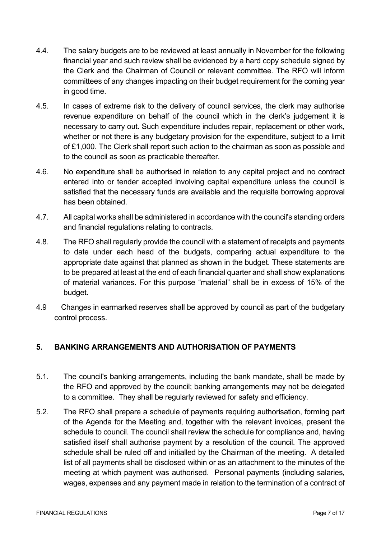- 4.4. The salary budgets are to be reviewed at least annually in November for the following financial year and such review shall be evidenced by a hard copy schedule signed by the Clerk and the Chairman of Council or relevant committee. The RFO will inform committees of any changes impacting on their budget requirement for the coming year in good time.
- 4.5. In cases of extreme risk to the delivery of council services, the clerk may authorise revenue expenditure on behalf of the council which in the clerk's judgement it is necessary to carry out. Such expenditure includes repair, replacement or other work, whether or not there is any budgetary provision for the expenditure, subject to a limit of £1,000. The Clerk shall report such action to the chairman as soon as possible and to the council as soon as practicable thereafter.
- 4.6. No expenditure shall be authorised in relation to any capital project and no contract entered into or tender accepted involving capital expenditure unless the council is satisfied that the necessary funds are available and the requisite borrowing approval has been obtained.
- 4.7. All capital works shall be administered in accordance with the council's standing orders and financial regulations relating to contracts.
- 4.8. The RFO shall regularly provide the council with a statement of receipts and payments to date under each head of the budgets, comparing actual expenditure to the appropriate date against that planned as shown in the budget. These statements are to be prepared at least at the end of each financial quarter and shall show explanations of material variances. For this purpose "material" shall be in excess of 15% of the budget.
- 4.9 Changes in earmarked reserves shall be approved by council as part of the budgetary control process.

## <span id="page-6-0"></span>**5. BANKING ARRANGEMENTS AND AUTHORISATION OF PAYMENTS**

- 5.1. The council's banking arrangements, including the bank mandate, shall be made by the RFO and approved by the council; banking arrangements may not be delegated to a committee. They shall be regularly reviewed for safety and efficiency.
- 5.2. The RFO shall prepare a schedule of payments requiring authorisation, forming part of the Agenda for the Meeting and, together with the relevant invoices, present the schedule to council. The council shall review the schedule for compliance and, having satisfied itself shall authorise payment by a resolution of the council. The approved schedule shall be ruled off and initialled by the Chairman of the meeting. A detailed list of all payments shall be disclosed within or as an attachment to the minutes of the meeting at which payment was authorised. Personal payments (including salaries, wages, expenses and any payment made in relation to the termination of a contract of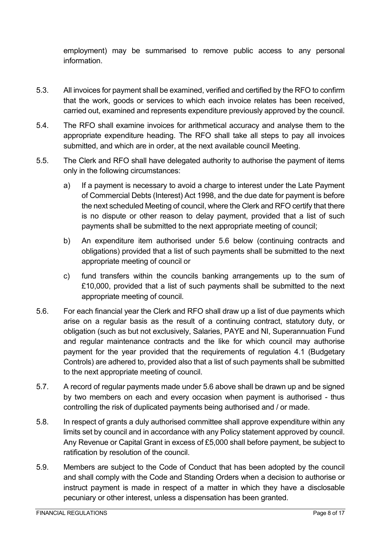employment) may be summarised to remove public access to any personal information.

- 5.3. All invoices for payment shall be examined, verified and certified by the RFO to confirm that the work, goods or services to which each invoice relates has been received, carried out, examined and represents expenditure previously approved by the council.
- 5.4. The RFO shall examine invoices for arithmetical accuracy and analyse them to the appropriate expenditure heading. The RFO shall take all steps to pay all invoices submitted, and which are in order, at the next available council Meeting.
- 5.5. The Clerk and RFO shall have delegated authority to authorise the payment of items only in the following circumstances:
	- a) If a payment is necessary to avoid a charge to interest under the Late Payment of Commercial Debts (Interest) Act 1998, and the due date for payment is before the next scheduled Meeting of council, where the Clerk and RFO certify that there is no dispute or other reason to delay payment, provided that a list of such payments shall be submitted to the next appropriate meeting of council;
	- b) An expenditure item authorised under 5.6 below (continuing contracts and obligations) provided that a list of such payments shall be submitted to the next appropriate meeting of council or
	- c) fund transfers within the councils banking arrangements up to the sum of £10,000, provided that a list of such payments shall be submitted to the next appropriate meeting of council.
- 5.6. For each financial year the Clerk and RFO shall draw up a list of due payments which arise on a regular basis as the result of a continuing contract, statutory duty, or obligation (such as but not exclusively, Salaries, PAYE and NI, Superannuation Fund and regular maintenance contracts and the like for which council may authorise payment for the year provided that the requirements of regulation 4.1 (Budgetary Controls) are adhered to, provided also that a list of such payments shall be submitted to the next appropriate meeting of council.
- 5.7. A record of regular payments made under 5.6 above shall be drawn up and be signed by two members on each and every occasion when payment is authorised - thus controlling the risk of duplicated payments being authorised and / or made.
- 5.8. In respect of grants a duly authorised committee shall approve expenditure within any limits set by council and in accordance with any Policy statement approved by council. Any Revenue or Capital Grant in excess of £5,000 shall before payment, be subject to ratification by resolution of the council.
- 5.9. Members are subject to the Code of Conduct that has been adopted by the council and shall comply with the Code and Standing Orders when a decision to authorise or instruct payment is made in respect of a matter in which they have a disclosable pecuniary or other interest, unless a dispensation has been granted.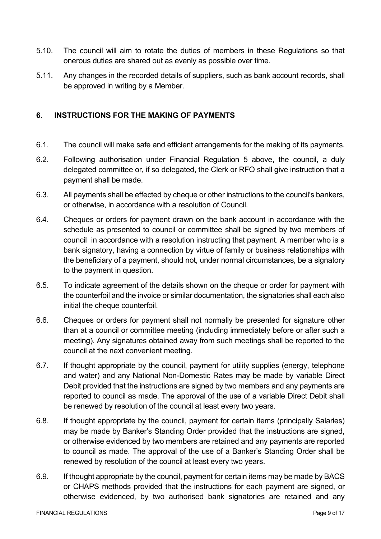- 5.10. The council will aim to rotate the duties of members in these Regulations so that onerous duties are shared out as evenly as possible over time.
- 5.11. Any changes in the recorded details of suppliers, such as bank account records, shall be approved in writing by a Member.

#### <span id="page-8-0"></span>**6. INSTRUCTIONS FOR THE MAKING OF PAYMENTS**

- 6.1. The council will make safe and efficient arrangements for the making of its payments.
- 6.2. Following authorisation under Financial Regulation 5 above, the council, a duly delegated committee or, if so delegated, the Clerk or RFO shall give instruction that a payment shall be made.
- 6.3. All payments shall be effected by cheque or other instructions to the council's bankers, or otherwise, in accordance with a resolution of Council.
- 6.4. Cheques or orders for payment drawn on the bank account in accordance with the schedule as presented to council or committee shall be signed by two members of council in accordance with a resolution instructing that payment. A member who is a bank signatory, having a connection by virtue of family or business relationships with the beneficiary of a payment, should not, under normal circumstances, be a signatory to the payment in question.
- 6.5. To indicate agreement of the details shown on the cheque or order for payment with the counterfoil and the invoice or similar documentation, the signatories shall each also initial the cheque counterfoil.
- 6.6. Cheques or orders for payment shall not normally be presented for signature other than at a council or committee meeting (including immediately before or after such a meeting). Any signatures obtained away from such meetings shall be reported to the council at the next convenient meeting.
- 6.7. If thought appropriate by the council, payment for utility supplies (energy, telephone and water) and any National Non-Domestic Rates may be made by variable Direct Debit provided that the instructions are signed by two members and any payments are reported to council as made. The approval of the use of a variable Direct Debit shall be renewed by resolution of the council at least every two years.
- 6.8. If thought appropriate by the council, payment for certain items (principally Salaries) may be made by Banker's Standing Order provided that the instructions are signed, or otherwise evidenced by two members are retained and any payments are reported to council as made. The approval of the use of a Banker's Standing Order shall be renewed by resolution of the council at least every two years.
- 6.9. If thought appropriate by the council, payment for certain items may be made by BACS or CHAPS methods provided that the instructions for each payment are signed, or otherwise evidenced, by two authorised bank signatories are retained and any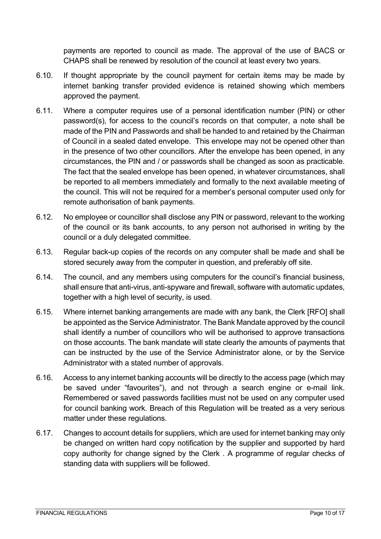payments are reported to council as made. The approval of the use of BACS or CHAPS shall be renewed by resolution of the council at least every two years.

- 6.10. If thought appropriate by the council payment for certain items may be made by internet banking transfer provided evidence is retained showing which members approved the payment.
- 6.11. Where a computer requires use of a personal identification number (PIN) or other password(s), for access to the council's records on that computer, a note shall be made of the PIN and Passwords and shall be handed to and retained by the Chairman of Council in a sealed dated envelope. This envelope may not be opened other than in the presence of two other councillors. After the envelope has been opened, in any circumstances, the PIN and / or passwords shall be changed as soon as practicable. The fact that the sealed envelope has been opened, in whatever circumstances, shall be reported to all members immediately and formally to the next available meeting of the council. This will not be required for a member's personal computer used only for remote authorisation of bank payments.
- 6.12. No employee or councillor shall disclose any PIN or password, relevant to the working of the council or its bank accounts, to any person not authorised in writing by the council or a duly delegated committee.
- 6.13. Regular back-up copies of the records on any computer shall be made and shall be stored securely away from the computer in question, and preferably off site.
- 6.14. The council, and any members using computers for the council's financial business, shall ensure that anti-virus, anti-spyware and firewall, software with automatic updates, together with a high level of security, is used.
- 6.15. Where internet banking arrangements are made with any bank, the Clerk [RFO] shall be appointed as the Service Administrator. The Bank Mandate approved by the council shall identify a number of councillors who will be authorised to approve transactions on those accounts. The bank mandate will state clearly the amounts of payments that can be instructed by the use of the Service Administrator alone, or by the Service Administrator with a stated number of approvals.
- 6.16. Access to any internet banking accounts will be directly to the access page (which may be saved under "favourites"), and not through a search engine or e-mail link. Remembered or saved passwords facilities must not be used on any computer used for council banking work. Breach of this Regulation will be treated as a very serious matter under these regulations.
- 6.17. Changes to account details for suppliers, which are used for internet banking may only be changed on written hard copy notification by the supplier and supported by hard copy authority for change signed by the Clerk . A programme of regular checks of standing data with suppliers will be followed.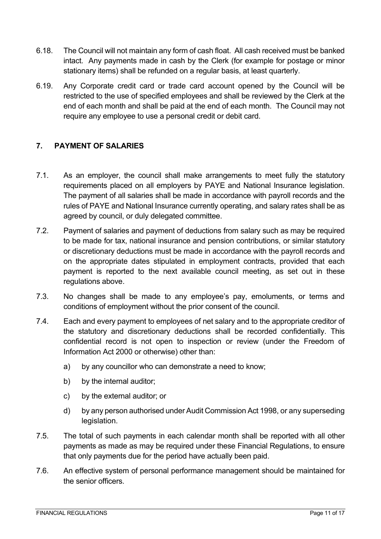- 6.18. The Council will not maintain any form of cash float. All cash received must be banked intact. Any payments made in cash by the Clerk (for example for postage or minor stationary items) shall be refunded on a regular basis, at least quarterly.
- 6.19. Any Corporate credit card or trade card account opened by the Council will be restricted to the use of specified employees and shall be reviewed by the Clerk at the end of each month and shall be paid at the end of each month. The Council may not require any employee to use a personal credit or debit card.

### <span id="page-10-0"></span>**7. PAYMENT OF SALARIES**

- 7.1. As an employer, the council shall make arrangements to meet fully the statutory requirements placed on all employers by PAYE and National Insurance legislation. The payment of all salaries shall be made in accordance with payroll records and the rules of PAYE and National Insurance currently operating, and salary rates shall be as agreed by council, or duly delegated committee.
- 7.2. Payment of salaries and payment of deductions from salary such as may be required to be made for tax, national insurance and pension contributions, or similar statutory or discretionary deductions must be made in accordance with the payroll records and on the appropriate dates stipulated in employment contracts, provided that each payment is reported to the next available council meeting, as set out in these regulations above.
- 7.3. No changes shall be made to any employee's pay, emoluments, or terms and conditions of employment without the prior consent of the council.
- 7.4. Each and every payment to employees of net salary and to the appropriate creditor of the statutory and discretionary deductions shall be recorded confidentially. This confidential record is not open to inspection or review (under the Freedom of Information Act 2000 or otherwise) other than:
	- a) by any councillor who can demonstrate a need to know;
	- b) by the internal auditor;
	- c) by the external auditor; or
	- d) by any person authorised under Audit Commission Act 1998, or any superseding legislation.
- 7.5. The total of such payments in each calendar month shall be reported with all other payments as made as may be required under these Financial Regulations, to ensure that only payments due for the period have actually been paid.
- 7.6. An effective system of personal performance management should be maintained for the senior officers.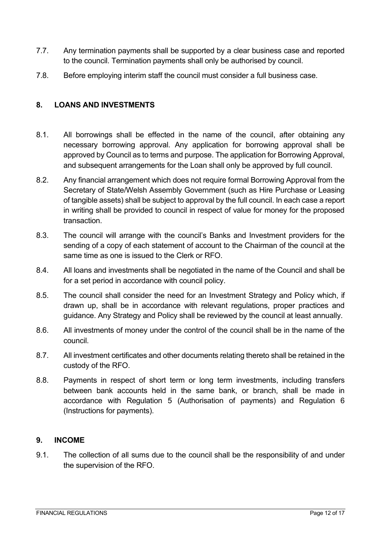- 7.7. Any termination payments shall be supported by a clear business case and reported to the council. Termination payments shall only be authorised by council.
- 7.8. Before employing interim staff the council must consider a full business case.

#### <span id="page-11-0"></span>**8. LOANS AND INVESTMENTS**

- 8.1. All borrowings shall be effected in the name of the council, after obtaining any necessary borrowing approval. Any application for borrowing approval shall be approved by Council as to terms and purpose. The application for Borrowing Approval, and subsequent arrangements for the Loan shall only be approved by full council.
- 8.2. Any financial arrangement which does not require formal Borrowing Approval from the Secretary of State/Welsh Assembly Government (such as Hire Purchase or Leasing of tangible assets) shall be subject to approval by the full council. In each case a report in writing shall be provided to council in respect of value for money for the proposed transaction.
- 8.3. The council will arrange with the council's Banks and Investment providers for the sending of a copy of each statement of account to the Chairman of the council at the same time as one is issued to the Clerk or RFO.
- 8.4. All loans and investments shall be negotiated in the name of the Council and shall be for a set period in accordance with council policy.
- 8.5. The council shall consider the need for an Investment Strategy and Policy which, if drawn up, shall be in accordance with relevant regulations, proper practices and guidance. Any Strategy and Policy shall be reviewed by the council at least annually.
- 8.6. All investments of money under the control of the council shall be in the name of the council.
- 8.7. All investment certificates and other documents relating thereto shall be retained in the custody of the RFO.
- 8.8. Payments in respect of short term or long term investments, including transfers between bank accounts held in the same bank, or branch, shall be made in accordance with Regulation 5 (Authorisation of payments) and Regulation 6 (Instructions for payments).

#### <span id="page-11-1"></span>**9. INCOME**

9.1. The collection of all sums due to the council shall be the responsibility of and under the supervision of the RFO.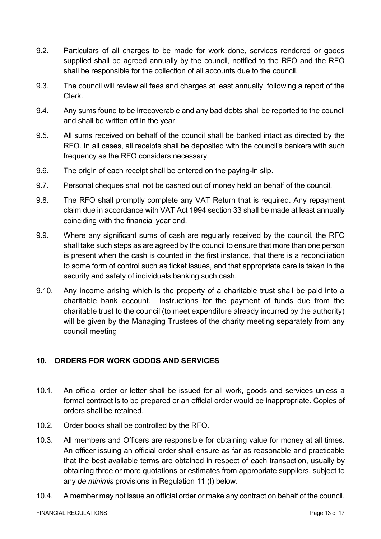- 9.2. Particulars of all charges to be made for work done, services rendered or goods supplied shall be agreed annually by the council, notified to the RFO and the RFO shall be responsible for the collection of all accounts due to the council.
- 9.3. The council will review all fees and charges at least annually, following a report of the Clerk.
- 9.4. Any sums found to be irrecoverable and any bad debts shall be reported to the council and shall be written off in the year.
- 9.5. All sums received on behalf of the council shall be banked intact as directed by the RFO. In all cases, all receipts shall be deposited with the council's bankers with such frequency as the RFO considers necessary.
- 9.6. The origin of each receipt shall be entered on the paying-in slip.
- 9.7. Personal cheques shall not be cashed out of money held on behalf of the council.
- 9.8. The RFO shall promptly complete any VAT Return that is required. Any repayment claim due in accordance with VAT Act 1994 section 33 shall be made at least annually coinciding with the financial year end.
- 9.9. Where any significant sums of cash are regularly received by the council, the RFO shall take such steps as are agreed by the council to ensure that more than one person is present when the cash is counted in the first instance, that there is a reconciliation to some form of control such as ticket issues, and that appropriate care is taken in the security and safety of individuals banking such cash.
- 9.10. Any income arising which is the property of a charitable trust shall be paid into a charitable bank account. Instructions for the payment of funds due from the charitable trust to the council (to meet expenditure already incurred by the authority) will be given by the Managing Trustees of the charity meeting separately from any council meeting

## <span id="page-12-0"></span>**10. ORDERS FOR WORK GOODS AND SERVICES**

- 10.1. An official order or letter shall be issued for all work, goods and services unless a formal contract is to be prepared or an official order would be inappropriate. Copies of orders shall be retained.
- 10.2. Order books shall be controlled by the RFO.
- 10.3. All members and Officers are responsible for obtaining value for money at all times. An officer issuing an official order shall ensure as far as reasonable and practicable that the best available terms are obtained in respect of each transaction, usually by obtaining three or more quotations or estimates from appropriate suppliers, subject to any *de minimis* provisions in Regulation 11 (I) below.
- 10.4. A member may not issue an official order or make any contract on behalf of the council.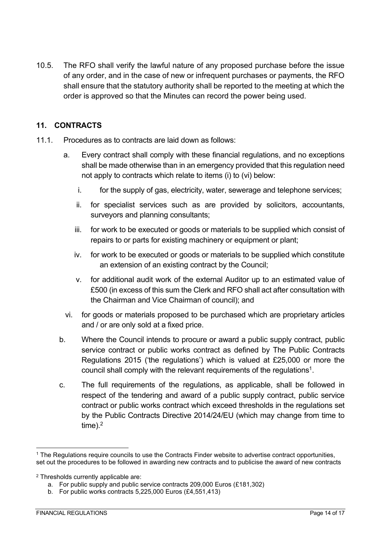10.5. The RFO shall verify the lawful nature of any proposed purchase before the issue of any order, and in the case of new or infrequent purchases or payments, the RFO shall ensure that the statutory authority shall be reported to the meeting at which the order is approved so that the Minutes can record the power being used.

#### <span id="page-13-0"></span>**11. CONTRACTS**

- 11.1. Procedures as to contracts are laid down as follows:
	- a. Every contract shall comply with these financial regulations, and no exceptions shall be made otherwise than in an emergency provided that this regulation need not apply to contracts which relate to items (i) to (vi) below:
		- i. for the supply of gas, electricity, water, sewerage and telephone services;
		- ii. for specialist services such as are provided by solicitors, accountants, surveyors and planning consultants;
		- iii. for work to be executed or goods or materials to be supplied which consist of repairs to or parts for existing machinery or equipment or plant;
		- iv. for work to be executed or goods or materials to be supplied which constitute an extension of an existing contract by the Council;
		- v. for additional audit work of the external Auditor up to an estimated value of £500 (in excess of this sum the Clerk and RFO shall act after consultation with the Chairman and Vice Chairman of council); and
	- vi. for goods or materials proposed to be purchased which are proprietary articles and / or are only sold at a fixed price.
	- b. Where the Council intends to procure or award a public supply contract, public service contract or public works contract as defined by The Public Contracts Regulations 2015 ('the regulations') which is valued at £25,000 or more the council shall comply with the relevant requirements of the regulations<sup>1</sup>.
	- c. The full requirements of the regulations, as applicable, shall be followed in respect of the tendering and award of a public supply contract, public service contract or public works contract which exceed thresholds in the regulations set by the Public Contracts Directive 2014/24/EU (which may change from time to time). $2$

<sup>1</sup> The Regulations require councils to use the Contracts Finder website to advertise contract opportunities, set out the procedures to be followed in awarding new contracts and to publicise the award of new contracts

<sup>2</sup> Thresholds currently applicable are:

a. For public supply and public service contracts 209,000 Euros (£181,302)

b. For public works contracts 5,225,000 Euros (£4,551,413)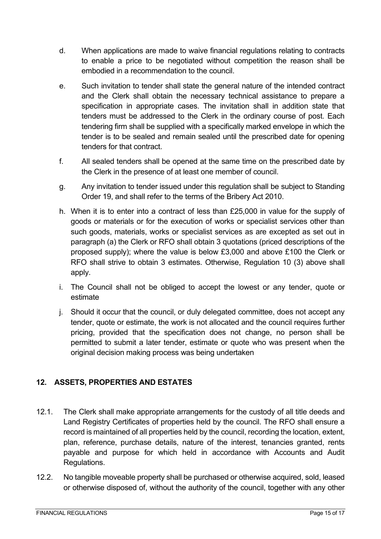- d. When applications are made to waive financial regulations relating to contracts to enable a price to be negotiated without competition the reason shall be embodied in a recommendation to the council.
- e. Such invitation to tender shall state the general nature of the intended contract and the Clerk shall obtain the necessary technical assistance to prepare a specification in appropriate cases. The invitation shall in addition state that tenders must be addressed to the Clerk in the ordinary course of post. Each tendering firm shall be supplied with a specifically marked envelope in which the tender is to be sealed and remain sealed until the prescribed date for opening tenders for that contract.
- f. All sealed tenders shall be opened at the same time on the prescribed date by the Clerk in the presence of at least one member of council.
- g. Any invitation to tender issued under this regulation shall be subject to Standing Order 19, and shall refer to the terms of the Bribery Act 2010.
- h. When it is to enter into a contract of less than £25,000 in value for the supply of goods or materials or for the execution of works or specialist services other than such goods, materials, works or specialist services as are excepted as set out in paragraph (a) the Clerk or RFO shall obtain 3 quotations (priced descriptions of the proposed supply); where the value is below £3,000 and above £100 the Clerk or RFO shall strive to obtain 3 estimates. Otherwise, Regulation 10 (3) above shall apply.
- i. The Council shall not be obliged to accept the lowest or any tender, quote or estimate
- j. Should it occur that the council, or duly delegated committee, does not accept any tender, quote or estimate, the work is not allocated and the council requires further pricing, provided that the specification does not change, no person shall be permitted to submit a later tender, estimate or quote who was present when the original decision making process was being undertaken

## <span id="page-14-0"></span>**12. ASSETS, PROPERTIES AND ESTATES**

- 12.1. The Clerk shall make appropriate arrangements for the custody of all title deeds and Land Registry Certificates of properties held by the council. The RFO shall ensure a record is maintained of all properties held by the council, recording the location, extent, plan, reference, purchase details, nature of the interest, tenancies granted, rents payable and purpose for which held in accordance with Accounts and Audit Regulations.
- 12.2. No tangible moveable property shall be purchased or otherwise acquired, sold, leased or otherwise disposed of, without the authority of the council, together with any other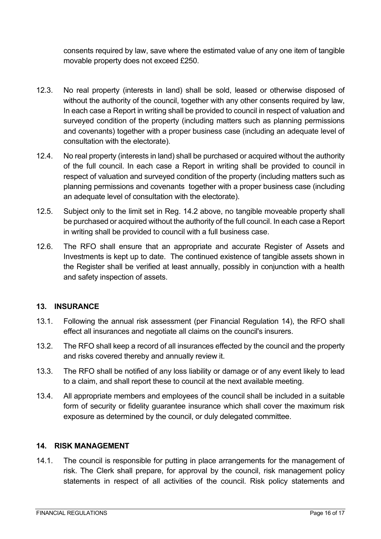consents required by law, save where the estimated value of any one item of tangible movable property does not exceed £250.

- 12.3. No real property (interests in land) shall be sold, leased or otherwise disposed of without the authority of the council, together with any other consents required by law, In each case a Report in writing shall be provided to council in respect of valuation and surveyed condition of the property (including matters such as planning permissions and covenants) together with a proper business case (including an adequate level of consultation with the electorate).
- 12.4. No real property (interests in land) shall be purchased or acquired without the authority of the full council. In each case a Report in writing shall be provided to council in respect of valuation and surveyed condition of the property (including matters such as planning permissions and covenants together with a proper business case (including an adequate level of consultation with the electorate).
- 12.5. Subject only to the limit set in Reg. 14.2 above, no tangible moveable property shall be purchased or acquired without the authority of the full council. In each case a Report in writing shall be provided to council with a full business case.
- 12.6. The RFO shall ensure that an appropriate and accurate Register of Assets and Investments is kept up to date. The continued existence of tangible assets shown in the Register shall be verified at least annually, possibly in conjunction with a health and safety inspection of assets.

#### <span id="page-15-0"></span>**13. INSURANCE**

- 13.1. Following the annual risk assessment (per Financial Regulation 14), the RFO shall effect all insurances and negotiate all claims on the council's insurers.
- 13.2. The RFO shall keep a record of all insurances effected by the council and the property and risks covered thereby and annually review it.
- 13.3. The RFO shall be notified of any loss liability or damage or of any event likely to lead to a claim, and shall report these to council at the next available meeting.
- 13.4. All appropriate members and employees of the council shall be included in a suitable form of security or fidelity guarantee insurance which shall cover the maximum risk exposure as determined by the council, or duly delegated committee.

#### <span id="page-15-1"></span>**14. RISK MANAGEMENT**

14.1. The council is responsible for putting in place arrangements for the management of risk. The Clerk shall prepare, for approval by the council, risk management policy statements in respect of all activities of the council. Risk policy statements and